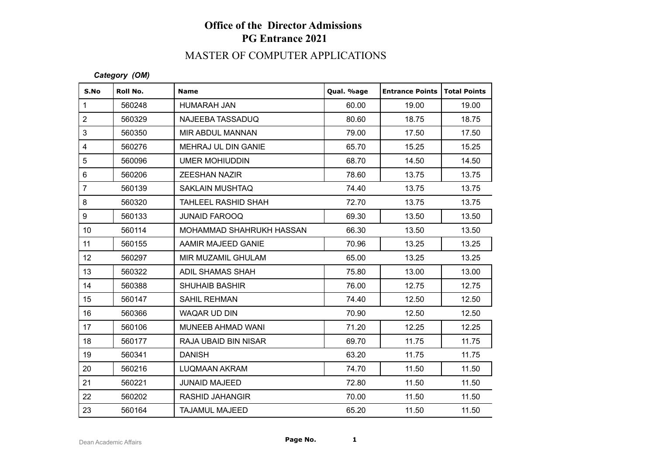# **Office of the Director Admissions PG Entrance 2021**

## MASTER OF COMPUTER APPLICATIONS

### *Category (OM)*

| S.No             | Roll No. | <b>Name</b>                | Qual. %age | <b>Entrance Points</b> | <b>Total Points</b> |
|------------------|----------|----------------------------|------------|------------------------|---------------------|
| $\mathbf{1}$     | 560248   | HUMARAH JAN                | 60.00      | 19.00                  | 19.00               |
| $\overline{2}$   | 560329   | NAJEEBA TASSADUQ           | 80.60      | 18.75                  | 18.75               |
| 3                | 560350   | <b>MIR ABDUL MANNAN</b>    | 79.00      | 17.50                  | 17.50               |
| $\overline{4}$   | 560276   | <b>MEHRAJ UL DIN GANIE</b> | 65.70      | 15.25                  | 15.25               |
| 5                | 560096   | UMER MOHIUDDIN             | 68.70      | 14.50                  | 14.50               |
| $6\phantom{a}$   | 560206   | <b>ZEESHAN NAZIR</b>       | 78.60      | 13.75                  | 13.75               |
| $\overline{7}$   | 560139   | <b>SAKLAIN MUSHTAQ</b>     | 74.40      | 13.75                  | 13.75               |
| 8                | 560320   | <b>TAHLEEL RASHID SHAH</b> | 72.70      | 13.75                  | 13.75               |
| 9                | 560133   | <b>JUNAID FAROOQ</b>       | 69.30      | 13.50                  | 13.50               |
| 10 <sup>°</sup>  | 560114   | MOHAMMAD SHAHRUKH HASSAN   | 66.30      | 13.50                  | 13.50               |
| 11               | 560155   | AAMIR MAJEED GANIE         | 70.96      | 13.25                  | 13.25               |
| 12 <sup>°</sup>  | 560297   | MIR MUZAMIL GHULAM         | 65.00      | 13.25                  | 13.25               |
| 13               | 560322   | ADIL SHAMAS SHAH           | 75.80      | 13.00                  | 13.00               |
| 14               | 560388   | <b>SHUHAIB BASHIR</b>      | 76.00      | 12.75                  | 12.75               |
| 15 <sub>15</sub> | 560147   | <b>SAHIL REHMAN</b>        | 74.40      | 12.50                  | 12.50               |
| 16               | 560366   | WAQAR UD DIN               | 70.90      | 12.50                  | 12.50               |
| 17               | 560106   | MUNEEB AHMAD WANI          | 71.20      | 12.25                  | 12.25               |
| 18               | 560177   | RAJA UBAID BIN NISAR       | 69.70      | 11.75                  | 11.75               |
| 19               | 560341   | <b>DANISH</b>              | 63.20      | 11.75                  | 11.75               |
| 20               | 560216   | <b>LUQMAAN AKRAM</b>       | 74.70      | 11.50                  | 11.50               |
| 21               | 560221   | <b>JUNAID MAJEED</b>       | 72.80      | 11.50                  | 11.50               |
| 22               | 560202   | <b>RASHID JAHANGIR</b>     | 70.00      | 11.50                  | 11.50               |
| 23               | 560164   | <b>TAJAMUL MAJEED</b>      | 65.20      | 11.50                  | 11.50               |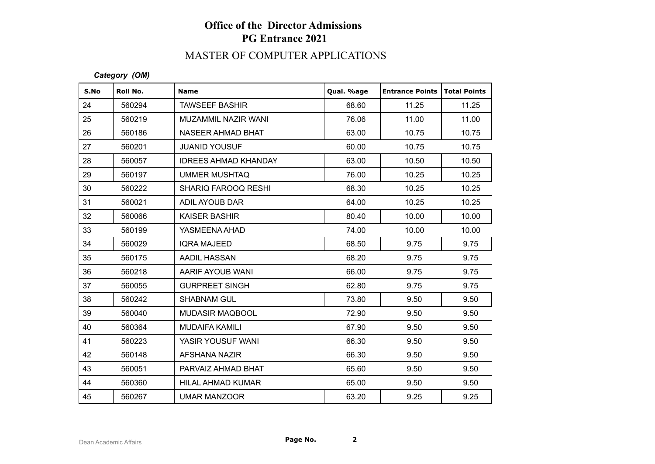# **Office of the Director Admissions PG Entrance 2021**

## MASTER OF COMPUTER APPLICATIONS

### *Category (OM)*

| S.No | Roll No. | <b>Name</b>                 | Qual. %age | <b>Entrance Points</b> | <b>Total Points</b> |
|------|----------|-----------------------------|------------|------------------------|---------------------|
| 24   | 560294   | <b>TAWSEEF BASHIR</b>       | 68.60      | 11.25                  | 11.25               |
| 25   | 560219   | <b>MUZAMMIL NAZIR WANI</b>  | 76.06      | 11.00                  | 11.00               |
| 26   | 560186   | <b>NASEER AHMAD BHAT</b>    | 63.00      | 10.75                  | 10.75               |
| 27   | 560201   | <b>JUANID YOUSUF</b>        | 60.00      | 10.75                  | 10.75               |
| 28   | 560057   | <b>IDREES AHMAD KHANDAY</b> | 63.00      | 10.50                  | 10.50               |
| 29   | 560197   | UMMER MUSHTAQ               | 76.00      | 10.25                  | 10.25               |
| 30   | 560222   | SHARIQ FAROOQ RESHI         | 68.30      | 10.25                  | 10.25               |
| 31   | 560021   | ADIL AYOUB DAR              | 64.00      | 10.25                  | 10.25               |
| 32   | 560066   | <b>KAISER BASHIR</b>        | 80.40      | 10.00                  | 10.00               |
| 33   | 560199   | YASMEENA AHAD               | 74.00      | 10.00                  | 10.00               |
| 34   | 560029   | <b>IQRA MAJEED</b>          | 68.50      | 9.75                   | 9.75                |
| 35   | 560175   | AADIL HASSAN                | 68.20      | 9.75                   | 9.75                |
| 36   | 560218   | AARIF AYOUB WANI            | 66.00      | 9.75                   | 9.75                |
| 37   | 560055   | <b>GURPREET SINGH</b>       | 62.80      | 9.75                   | 9.75                |
| 38   | 560242   | <b>SHABNAM GUL</b>          | 73.80      | 9.50                   | 9.50                |
| 39   | 560040   | <b>MUDASIR MAQBOOL</b>      | 72.90      | 9.50                   | 9.50                |
| 40   | 560364   | <b>MUDAIFA KAMILI</b>       | 67.90      | 9.50                   | 9.50                |
| 41   | 560223   | YASIR YOUSUF WANI           | 66.30      | 9.50                   | 9.50                |
| 42   | 560148   | AFSHANA NAZIR               | 66.30      | 9.50                   | 9.50                |
| 43   | 560051   | PARVAIZ AHMAD BHAT          | 65.60      | 9.50                   | 9.50                |
| 44   | 560360   | HILAL AHMAD KUMAR           | 65.00      | 9.50                   | 9.50                |
| 45   | 560267   | <b>UMAR MANZOOR</b>         | 63.20      | 9.25                   | 9.25                |